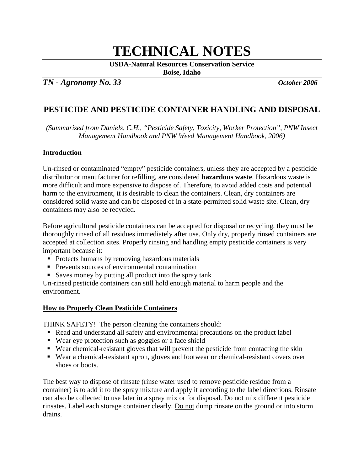# **TECHNICAL NOTES**

**USDA-Natural Resources Conservation Service**

**Boise, Idaho**

*TN - Agronomy No. 33 October 2006*

# **PESTICIDE AND PESTICIDE CONTAINER HANDLING AND DISPOSAL**

*(Summarized from Daniels, C.H., "Pesticide Safety, Toxicity, Worker Protection", PNW Insect Management Handbook and PNW Weed Management Handbook, 2006)*

# **Introduction**

Un-rinsed or contaminated "empty" pesticide containers, unless they are accepted by a pesticide distributor or manufacturer for refilling, are considered **hazardous waste**. Hazardous waste is more difficult and more expensive to dispose of. Therefore, to avoid added costs and potential harm to the environment, it is desirable to clean the containers. Clean, dry containers are considered solid waste and can be disposed of in a state-permitted solid waste site. Clean, dry containers may also be recycled.

Before agricultural pesticide containers can be accepted for disposal or recycling, they must be thoroughly rinsed of all residues immediately after use. Only dry, properly rinsed containers are accepted at collection sites. Properly rinsing and handling empty pesticide containers is very important because it:

- Protects humans by removing hazardous materials
- **Prevents sources of environmental contamination**
- Saves money by putting all product into the spray tank

Un-rinsed pesticide containers can still hold enough material to harm people and the environment.

# **How to Properly Clean Pesticide Containers**

THINK SAFETY! The person cleaning the containers should:

- Read and understand all safety and environmental precautions on the product label
- Wear eye protection such as goggles or a face shield
- Wear chemical-resistant gloves that will prevent the pesticide from contacting the skin
- Wear a chemical-resistant apron, gloves and footwear or chemical-resistant covers over shoes or boots.

The best way to dispose of rinsate (rinse water used to remove pesticide residue from a container) is to add it to the spray mixture and apply it according to the label directions. Rinsate can also be collected to use later in a spray mix or for disposal. Do not mix different pesticide rinsates. Label each storage container clearly. Do not dump rinsate on the ground or into storm drains.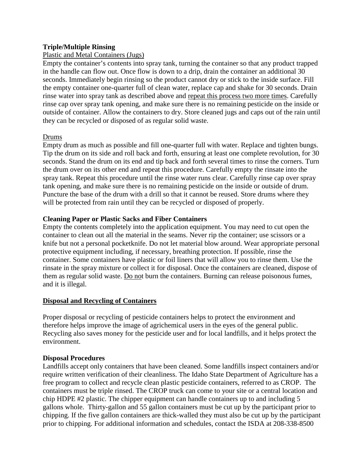# **Triple/Multiple Rinsing**

# Plastic and Metal Containers (Jugs)

Empty the container's contents into spray tank, turning the container so that any product trapped in the handle can flow out. Once flow is down to a drip, drain the container an additional 30 seconds. Immediately begin rinsing so the product cannot dry or stick to the inside surface. Fill the empty container one-quarter full of clean water, replace cap and shake for 30 seconds. Drain rinse water into spray tank as described above and repeat this process two more times. Carefully rinse cap over spray tank opening, and make sure there is no remaining pesticide on the inside or outside of container. Allow the containers to dry. Store cleaned jugs and caps out of the rain until they can be recycled or disposed of as regular solid waste.

# Drums

Empty drum as much as possible and fill one-quarter full with water. Replace and tighten bungs. Tip the drum on its side and roll back and forth, ensuring at least one complete revolution, for 30 seconds. Stand the drum on its end and tip back and forth several times to rinse the corners. Turn the drum over on its other end and repeat this procedure. Carefully empty the rinsate into the spray tank. Repeat this procedure until the rinse water runs clear. Carefully rinse cap over spray tank opening, and make sure there is no remaining pesticide on the inside or outside of drum. Puncture the base of the drum with a drill so that it cannot be reused. Store drums where they will be protected from rain until they can be recycled or disposed of properly.

# **Cleaning Paper or Plastic Sacks and Fiber Containers**

Empty the contents completely into the application equipment. You may need to cut open the container to clean out all the material in the seams. Never rip the container; use scissors or a knife but not a personal pocketknife. Do not let material blow around. Wear appropriate personal protective equipment including, if necessary, breathing protection. If possible, rinse the container. Some containers have plastic or foil liners that will allow you to rinse them. Use the rinsate in the spray mixture or collect it for disposal. Once the containers are cleaned, dispose of them as regular solid waste. Do not burn the containers. Burning can release poisonous fumes, and it is illegal.

#### **Disposal and Recycling of Containers**

Proper disposal or recycling of pesticide containers helps to protect the environment and therefore helps improve the image of agrichemical users in the eyes of the general public. Recycling also saves money for the pesticide user and for local landfills, and it helps protect the environment.

#### **Disposal Procedures**

Landfills accept only containers that have been cleaned. Some landfills inspect containers and/or require written verification of their cleanliness. The Idaho State Department of Agriculture has a free program to collect and recycle clean plastic pesticide containers, referred to as CROP. The containers must be triple rinsed. The CROP truck can come to your site or a central location and chip HDPE #2 plastic. The chipper equipment can handle containers up to and including 5 gallons whole. Thirty-gallon and 55 gallon containers must be cut up by the participant prior to chipping. If the five gallon containers are thick-walled they must also be cut up by the participant prior to chipping. For additional information and schedules, contact the ISDA at 208-338-8500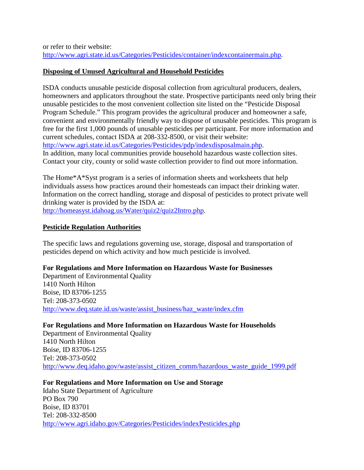or refer to their website: [http://www.agri.state.id.us/Categories/Pesticides/container/indexcontainermain.php.](http://www.agri.state.id.us/Categories/Pesticides/container/indexcontainermain.php)

# **Disposing of Unused Agricultural and Household Pesticides**

ISDA conducts unusable pesticide disposal collection from agricultural producers, dealers, homeowners and applicators throughout the state. Prospective participants need only bring their unusable pesticides to the most convenient collection site listed on the "Pesticide Disposal Program Schedule." This program provides the agricultural producer and homeowner a safe, convenient and environmentally friendly way to dispose of unusable pesticides. This program is free for the first 1,000 pounds of unusable pesticides per participant. For more information and current schedules, contact ISDA at 208-332-8500, or visit their website: [http://www.agri.state.id.us/Categories/Pesticides/pdp/indexdisposalmain.php.](http://www.agri.state.id.us/Categories/Pesticides/pdp/indexdisposalmain.php) In addition, many local communities provide household hazardous waste collection sites. Contact your city, county or solid waste collection provider to find out more information.

The Home\*A\*Syst program is a series of information sheets and worksheets that help individuals assess how practices around their homesteads can impact their drinking water. Information on the correct handling, storage and disposal of pesticides to protect private well drinking water is provided by the ISDA at: [http://homeasyst.idahoag.us/Water/quiz2/quiz2Intro.php.](http://homeasyst.idahoag.us/Water/quiz2/quiz2Intro.php)

# **Pesticide Regulation Authorities**

The specific laws and regulations governing use, storage, disposal and transportation of pesticides depend on which activity and how much pesticide is involved.

# **For Regulations and More Information on Hazardous Waste for Businesses**

Department of Environmental Quality 1410 North Hilton Boise, ID 83706-1255 Tel: 208-373-0502 [http://www.deq.state.id.us/waste/assist\\_business/haz\\_waste/index.cfm](http://www.deq.state.id.us/waste/assist_business/haz_waste/index.cfm)

# **For Regulations and More Information on Hazardous Waste for Households**

Department of Environmental Quality 1410 North Hilton Boise, ID 83706-1255 Tel: 208-373-0502 [http://www.deq.idaho.gov/waste/assist\\_citizen\\_comm/hazardous\\_waste\\_guide\\_1999.pdf](http://www.deq.idaho.gov/waste/assist_citizen_comm/hazardous_waste_guide_1999.pdf)

# **For Regulations and More Information on Use and Storage**

Idaho State Department of Agriculture PO Box 790 Boise, ID 83701 Tel: 208-332-8500 <http://www.agri.idaho.gov/Categories/Pesticides/indexPesticides.php>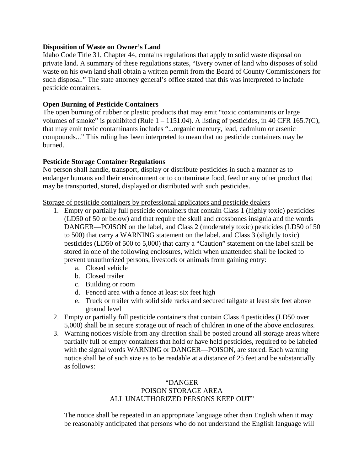#### **Disposition of Waste on Owner's Land**

Idaho Code Title 31, Chapter 44, contains regulations that apply to solid waste disposal on private land. A summary of these regulations states, "Every owner of land who disposes of solid waste on his own land shall obtain a written permit from the Board of County Commissioners for such disposal." The state attorney general's office stated that this was interpreted to include pesticide containers.

#### **Open Burning of Pesticide Containers**

The open burning of rubber or plastic products that may emit "toxic contaminants or large volumes of smoke" is prohibited (Rule  $1 - 1151.04$ ). A listing of pesticides, in 40 CFR 165.7(C), that may emit toxic contaminants includes "...organic mercury, lead, cadmium or arsenic compounds..." This ruling has been interpreted to mean that no pesticide containers may be burned.

# **Pesticide Storage Container Regulations**

No person shall handle, transport, display or distribute pesticides in such a manner as to endanger humans and their environment or to contaminate food, feed or any other product that may be transported, stored, displayed or distributed with such pesticides.

Storage of pesticide containers by professional applicators and pesticide dealers

- 1. Empty or partially full pesticide containers that contain Class 1 (highly toxic) pesticides (LD50 of 50 or below) and that require the skull and crossbones insignia and the words DANGER—POISON on the label, and Class 2 (moderately toxic) pesticides (LD50 of 50 to 500) that carry a WARNING statement on the label, and Class 3 (slightly toxic) pesticides (LD50 of 500 to 5,000) that carry a "Caution" statement on the label shall be stored in one of the following enclosures, which when unattended shall be locked to prevent unauthorized persons, livestock or animals from gaining entry:
	- a. Closed vehicle
	- b. Closed trailer
	- c. Building or room
	- d. Fenced area with a fence at least six feet high
	- e. Truck or trailer with solid side racks and secured tailgate at least six feet above ground level
- 2. Empty or partially full pesticide containers that contain Class 4 pesticides (LD50 over 5,000) shall be in secure storage out of reach of children in one of the above enclosures.
- 3. Warning notices visible from any direction shall be posted around all storage areas where partially full or empty containers that hold or have held pesticides, required to be labeled with the signal words WARNING or DANGER—POISON, are stored. Each warning notice shall be of such size as to be readable at a distance of 25 feet and be substantially as follows:

# "DANGER POISON STORAGE AREA ALL UNAUTHORIZED PERSONS KEEP OUT"

The notice shall be repeated in an appropriate language other than English when it may be reasonably anticipated that persons who do not understand the English language will